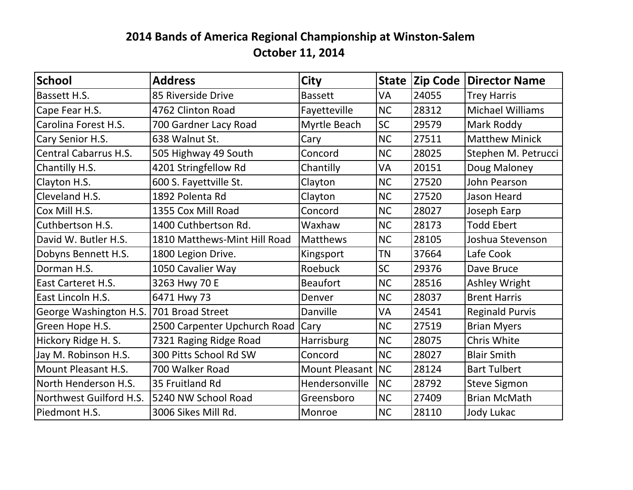## **2014 Bands of America Regional Championship at Winston-Salem October 11, 2014**

| <b>School</b>                | <b>Address</b>               | <b>City</b>       |           | State Zip Code | Director Name           |
|------------------------------|------------------------------|-------------------|-----------|----------------|-------------------------|
| Bassett H.S.                 | 85 Riverside Drive           | <b>Bassett</b>    | VA        | 24055          | <b>Trey Harris</b>      |
| Cape Fear H.S.               | 4762 Clinton Road            | Fayetteville      | NC        | 28312          | <b>Michael Williams</b> |
| Carolina Forest H.S.         | 700 Gardner Lacy Road        | Myrtle Beach      | <b>SC</b> | 29579          | Mark Roddy              |
| Cary Senior H.S.             | 638 Walnut St.               | Cary              | <b>NC</b> | 27511          | <b>Matthew Minick</b>   |
| <b>Central Cabarrus H.S.</b> | 505 Highway 49 South         | Concord           | <b>NC</b> | 28025          | Stephen M. Petrucci     |
| Chantilly H.S.               | 4201 Stringfellow Rd         | Chantilly         | VA        | 20151          | Doug Maloney            |
| Clayton H.S.                 | 600 S. Fayettville St.       | Clayton           | NC        | 27520          | John Pearson            |
| Cleveland H.S.               | 1892 Polenta Rd              | Clayton           | <b>NC</b> | 27520          | Jason Heard             |
| Cox Mill H.S.                | 1355 Cox Mill Road           | Concord           | NC        | 28027          | Joseph Earp             |
| Cuthbertson H.S.             | 1400 Cuthbertson Rd.         | Waxhaw            | <b>NC</b> | 28173          | <b>Todd Ebert</b>       |
| David W. Butler H.S.         | 1810 Matthews-Mint Hill Road | <b>Matthews</b>   | <b>NC</b> | 28105          | Joshua Stevenson        |
| Dobyns Bennett H.S.          | 1800 Legion Drive.           | Kingsport         | <b>TN</b> | 37664          | Lafe Cook               |
| Dorman H.S.                  | 1050 Cavalier Way            | Roebuck           | <b>SC</b> | 29376          | Dave Bruce              |
| East Carteret H.S.           | 3263 Hwy 70 E                | <b>Beaufort</b>   | <b>NC</b> | 28516          | <b>Ashley Wright</b>    |
| East Lincoln H.S.            | 6471 Hwy 73                  | Denver            | <b>NC</b> | 28037          | <b>Brent Harris</b>     |
| George Washington H.S.       | 701 Broad Street             | Danville          | VA        | 24541          | <b>Reginald Purvis</b>  |
| Green Hope H.S.              | 2500 Carpenter Upchurch Road | Cary              | <b>NC</b> | 27519          | <b>Brian Myers</b>      |
| Hickory Ridge H. S.          | 7321 Raging Ridge Road       | <b>Harrisburg</b> | NC        | 28075          | Chris White             |
| Jay M. Robinson H.S.         | 300 Pitts School Rd SW       | Concord           | <b>NC</b> | 28027          | <b>Blair Smith</b>      |
| Mount Pleasant H.S.          | 700 Walker Road              | Mount Pleasant NC |           | 28124          | <b>Bart Tulbert</b>     |
| North Henderson H.S.         | 35 Fruitland Rd              | Hendersonville    | <b>NC</b> | 28792          | <b>Steve Sigmon</b>     |
| Northwest Guilford H.S.      | 5240 NW School Road          | Greensboro        | <b>NC</b> | 27409          | <b>Brian McMath</b>     |
| Piedmont H.S.                | 3006 Sikes Mill Rd.          | Monroe            | NC        | 28110          | Jody Lukac              |